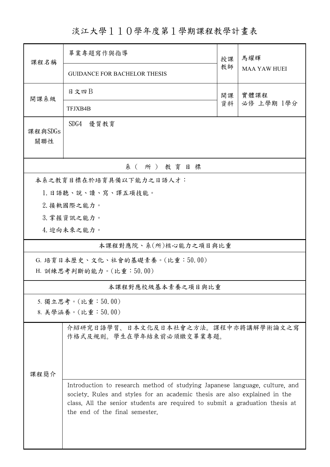淡江大學110學年度第1學期課程教學計畫表

| 課程名稱                    | 畢業專題寫作與指導                                                                                                                                                                                                                                                                   | 授課         | 馬耀輝<br><b>MAA YAW HUEI</b> |  |  |  |  |  |  |
|-------------------------|-----------------------------------------------------------------------------------------------------------------------------------------------------------------------------------------------------------------------------------------------------------------------------|------------|----------------------------|--|--|--|--|--|--|
|                         | <b>GUIDANCE FOR BACHELOR THESIS</b>                                                                                                                                                                                                                                         | 教師         |                            |  |  |  |  |  |  |
| 開課系級                    | 日文四日                                                                                                                                                                                                                                                                        | 實體課程<br>開課 |                            |  |  |  |  |  |  |
|                         | TFJXB4B                                                                                                                                                                                                                                                                     | 資料         | 必修 上學期 1學分                 |  |  |  |  |  |  |
| 課程與SDGs<br>關聯性          | SDG4<br>優質教育                                                                                                                                                                                                                                                                |            |                            |  |  |  |  |  |  |
| 系(所)教育目標                |                                                                                                                                                                                                                                                                             |            |                            |  |  |  |  |  |  |
| 本系之教育目標在於培育具備以下能力之日語人才: |                                                                                                                                                                                                                                                                             |            |                            |  |  |  |  |  |  |
|                         | 1. 日語聽、說、讀、寫、譯五項技能。                                                                                                                                                                                                                                                         |            |                            |  |  |  |  |  |  |
|                         | 2. 接軌國際之能力。                                                                                                                                                                                                                                                                 |            |                            |  |  |  |  |  |  |
|                         | 3. 掌握資訊之能力。                                                                                                                                                                                                                                                                 |            |                            |  |  |  |  |  |  |
|                         | 4. 迎向未來之能力。                                                                                                                                                                                                                                                                 |            |                            |  |  |  |  |  |  |
|                         | 本課程對應院、系(所)核心能力之項目與比重                                                                                                                                                                                                                                                       |            |                            |  |  |  |  |  |  |
|                         | G. 培育日本歷史、文化、社會的基礎素養。(比重:50.00)                                                                                                                                                                                                                                             |            |                            |  |  |  |  |  |  |
| H. 訓練思考判斷的能力。(比重:50.00) |                                                                                                                                                                                                                                                                             |            |                            |  |  |  |  |  |  |
|                         | 本課程對應校級基本素養之項目與比重                                                                                                                                                                                                                                                           |            |                            |  |  |  |  |  |  |
|                         | 5. 獨立思考。(比重:50.00)                                                                                                                                                                                                                                                          |            |                            |  |  |  |  |  |  |
|                         | 8. 美學涵養。(比重:50.00)                                                                                                                                                                                                                                                          |            |                            |  |  |  |  |  |  |
|                         | 介紹研究日語學習、日本文化及日本社會之方法。課程中亦將講解學術論文之寫<br>作格式及規則。學生在學年結束前必須繳交畢業專題。                                                                                                                                                                                                             |            |                            |  |  |  |  |  |  |
| 课程简介                    |                                                                                                                                                                                                                                                                             |            |                            |  |  |  |  |  |  |
|                         | Introduction to research method of studying Japanese language, culture, and<br>society. Rules and styles for an academic thesis are also explained in the<br>class. All the senior students are required to submit a graduation thesis at<br>the end of the final semester. |            |                            |  |  |  |  |  |  |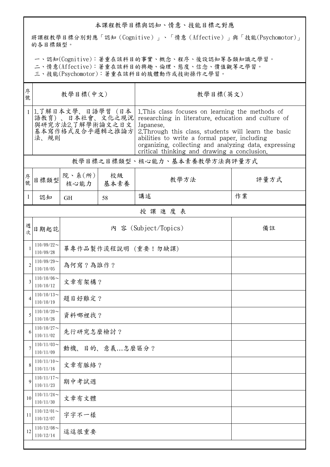## 本課程教學目標與認知、情意、技能目標之對應

將課程教學目標分別對應「認知(Cognitive)」、「情意(Affective)」與「技能(Psychomotor)」 的各目標類型。

一、認知(Cognitive):著重在該科目的事實、概念、程序、後設認知等各類知識之學習。

二、情意(Affective):著重在該科目的興趣、倫理、態度、信念、價值觀等之學習。

三、技能(Psychomotor):著重在該科目的肢體動作或技術操作之學習。

| 序<br>號         | 教學目標(中文)                                                                            |                              |            | 教學目標(英文)                                                                                                                                                                                                                                                                                                                             |      |  |  |  |
|----------------|-------------------------------------------------------------------------------------|------------------------------|------------|--------------------------------------------------------------------------------------------------------------------------------------------------------------------------------------------------------------------------------------------------------------------------------------------------------------------------------------|------|--|--|--|
|                | 1.了解日本文學、日語學習 (日本<br>語教育)、日本社會、文化之現況<br>與研究方法2.了解學術論文之日文<br>基本寫作格式及合乎邏輯之推論方<br>法、規則 |                              |            | 1. This class focuses on learning the methods of<br>researching in literature, education and culture of<br>Japanese.<br>2. Through this class, students will learn the basic<br>abilities to write a formal paper, including<br>organizing, collecting and analyzing data, expressing<br>critical thinking and drawing a conclusion. |      |  |  |  |
|                | 教學目標之目標類型、核心能力、基本素養教學方法與評量方式                                                        |                              |            |                                                                                                                                                                                                                                                                                                                                      |      |  |  |  |
| 序<br>號         | 目標類型                                                                                | 院、系 $(\hbox{\tt m})$<br>核心能力 | 校級<br>基本素養 | 教學方法                                                                                                                                                                                                                                                                                                                                 | 評量方式 |  |  |  |
| $\perp$        | 認知                                                                                  | <b>GH</b>                    | 58         | 講述                                                                                                                                                                                                                                                                                                                                   | 作業   |  |  |  |
|                | 授課進度表                                                                               |                              |            |                                                                                                                                                                                                                                                                                                                                      |      |  |  |  |
| 週<br>欤         | 日期起訖                                                                                |                              |            | 內 容 (Subject/Topics)                                                                                                                                                                                                                                                                                                                 | 備註   |  |  |  |
| 1              | $110/09/22$ ~<br>110/09/28                                                          | 畢專作品製作流程說明 (重要!勿缺課)          |            |                                                                                                                                                                                                                                                                                                                                      |      |  |  |  |
| $\overline{2}$ | $110/09/29$ ~<br>110/10/05                                                          | 為何寫?為誰作?                     |            |                                                                                                                                                                                                                                                                                                                                      |      |  |  |  |
| 3              | $110/10/06$ ~<br>110/10/12                                                          | 文章有架構?                       |            |                                                                                                                                                                                                                                                                                                                                      |      |  |  |  |
|                | $110/10/13$ ~<br>110/10/19                                                          | 題目好難定?                       |            |                                                                                                                                                                                                                                                                                                                                      |      |  |  |  |
| 5              | $110/10/20$ ~<br>110/10/26                                                          | 資料哪裡找?                       |            |                                                                                                                                                                                                                                                                                                                                      |      |  |  |  |
| 6              | $110/10/27$ ~<br>110/11/02                                                          | 先行研究怎麼檢討?                    |            |                                                                                                                                                                                                                                                                                                                                      |      |  |  |  |
| 7              | $110/11/03$ ~<br>110/11/09                                                          | 目的、意義怎麼區分?<br>動機、            |            |                                                                                                                                                                                                                                                                                                                                      |      |  |  |  |
| 8              | $110/11/10$ ~<br>110/11/16                                                          |                              | 文章有脈絡?     |                                                                                                                                                                                                                                                                                                                                      |      |  |  |  |
| 9              | $110/11/17$ ~<br>110/11/23                                                          | 期中考試週                        |            |                                                                                                                                                                                                                                                                                                                                      |      |  |  |  |
| 10             | $110/11/24$ ~<br>110/11/30                                                          | 文章有文體                        |            |                                                                                                                                                                                                                                                                                                                                      |      |  |  |  |
| 11             | $110/12/01$ ~<br>110/12/07                                                          | 字字不一樣                        |            |                                                                                                                                                                                                                                                                                                                                      |      |  |  |  |
| 12             | $110/12/08$ ~<br>110/12/14                                                          | 逗逗很重要                        |            |                                                                                                                                                                                                                                                                                                                                      |      |  |  |  |
|                |                                                                                     |                              |            |                                                                                                                                                                                                                                                                                                                                      |      |  |  |  |